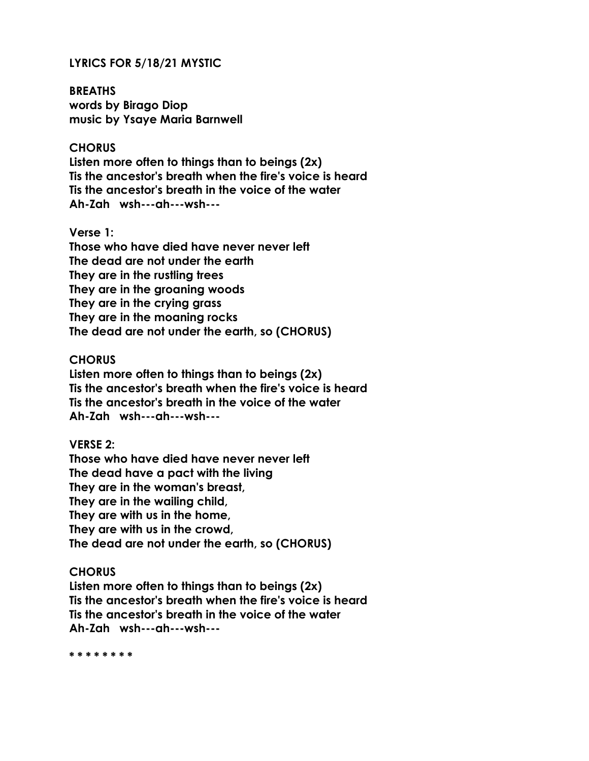# **LYRICS FOR 5/18/21 MYSTIC**

**BREATHS words by Birago Diop music by Ysaye Maria Barnwell**

# **CHORUS**

**Listen more often to things than to beings (2x) Tis the ancestor's breath when the fire's voice is heard Tis the ancestor's breath in the voice of the water Ah-Zah wsh---ah---wsh---**

# **Verse 1:**

**Those who have died have never never left The dead are not under the earth They are in the rustling trees They are in the groaning woods They are in the crying grass They are in the moaning rocks The dead are not under the earth, so (CHORUS)**

# **CHORUS**

**Listen more often to things than to beings (2x) Tis the ancestor's breath when the fire's voice is heard Tis the ancestor's breath in the voice of the water Ah-Zah wsh---ah---wsh---**

# **VERSE 2:**

**Those who have died have never never left The dead have a pact with the living They are in the woman's breast, They are in the wailing child, They are with us in the home, They are with us in the crowd, The dead are not under the earth, so (CHORUS)**

#### **CHORUS**

**Listen more often to things than to beings (2x) Tis the ancestor's breath when the fire's voice is heard Tis the ancestor's breath in the voice of the water Ah-Zah wsh---ah---wsh---**

**\* \* \* \* \* \* \* \***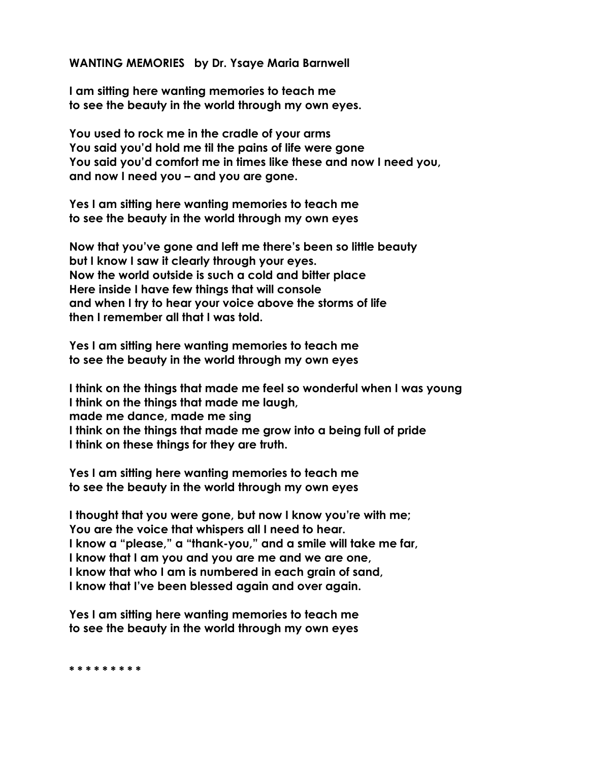# **WANTING MEMORIES by Dr. Ysaye Maria Barnwell**

**I am sitting here wanting memories to teach me to see the beauty in the world through my own eyes.**

**You used to rock me in the cradle of your arms You said you'd hold me til the pains of life were gone You said you'd comfort me in times like these and now I need you, and now I need you – and you are gone.**

**Yes I am sitting here wanting memories to teach me to see the beauty in the world through my own eyes**

**Now that you've gone and left me there's been so little beauty but I know I saw it clearly through your eyes. Now the world outside is such a cold and bitter place Here inside I have few things that will console and when I try to hear your voice above the storms of life then I remember all that I was told.**

**Yes I am sitting here wanting memories to teach me to see the beauty in the world through my own eyes**

**I think on the things that made me feel so wonderful when I was young I think on the things that made me laugh, made me dance, made me sing I think on the things that made me grow into a being full of pride I think on these things for they are truth.**

**Yes I am sitting here wanting memories to teach me to see the beauty in the world through my own eyes**

**I thought that you were gone, but now I know you're with me; You are the voice that whispers all I need to hear. I know a "please," a "thank-you," and a smile will take me far, I know that I am you and you are me and we are one, I know that who I am is numbered in each grain of sand, I know that I've been blessed again and over again.**

**Yes I am sitting here wanting memories to teach me to see the beauty in the world through my own eyes**

**\* \* \* \* \* \* \* \* \***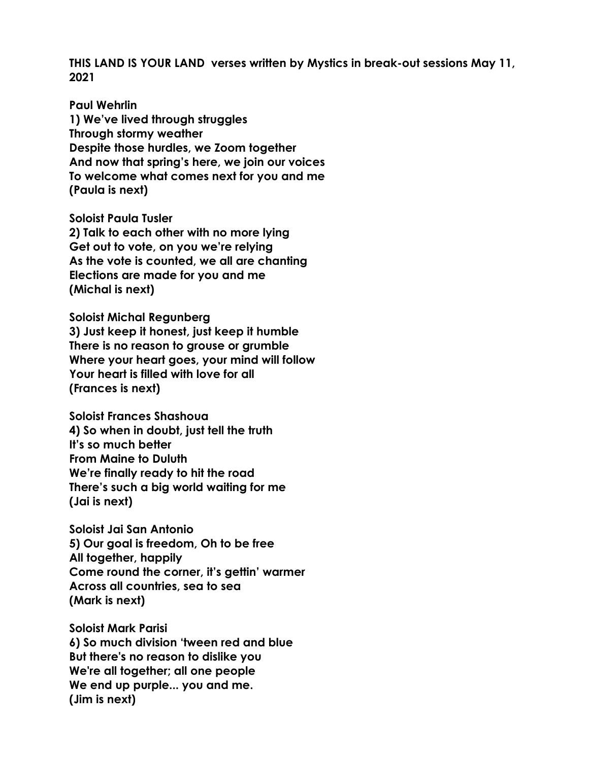**THIS LAND IS YOUR LAND verses written by Mystics in break-out sessions May 11, 2021**

**Paul Wehrlin 1) We've lived through struggles Through stormy weather Despite those hurdles, we Zoom together And now that spring's here, we join our voices To welcome what comes next for you and me (Paula is next)**

**Soloist Paula Tusler 2) Talk to each other with no more lying Get out to vote, on you we're relying As the vote is counted, we all are chanting Elections are made for you and me (Michal is next)**

**Soloist Michal Regunberg 3) Just keep it honest, just keep it humble There is no reason to grouse or grumble Where your heart goes, your mind will follow Your heart is filled with love for all (Frances is next)**

**Soloist Frances Shashoua 4) So when in doubt, just tell the truth It's so much better From Maine to Duluth We're finally ready to hit the road There's such a big world waiting for me (Jai is next)**

**Soloist Jai San Antonio 5) Our goal is freedom, Oh to be free All together, happily Come round the corner, it's gettin' warmer Across all countries, sea to sea (Mark is next)**

**Soloist Mark Parisi 6) So much division 'tween red and blue But there's no reason to dislike you We're all together; all one people We end up purple... you and me. (Jim is next)**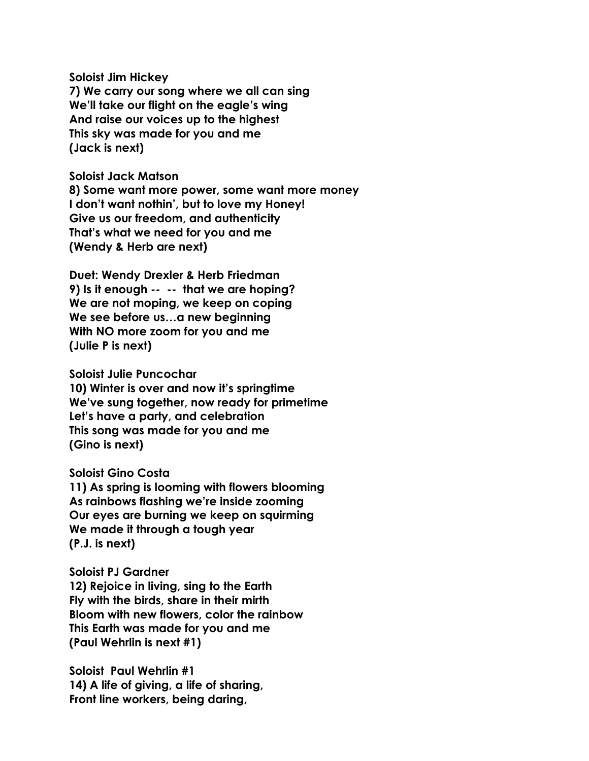**Soloist Jim Hickey 7) We carry our song where we all can sing We'll take our flight on the eagle's wing And raise our voices up to the highest This sky was made for you and me (Jack is next)**

**Soloist Jack Matson 8) Some want more power, some want more money I don't want nothin', but to love my Honey! Give us our freedom, and authenticity That's what we need for you and me (Wendy & Herb are next)**

**Duet: Wendy Drexler & Herb Friedman 9) Is it enough -- -- that we are hoping? We are not moping, we keep on coping We see before us…a new beginning With NO more zoom for you and me (Julie P is next)**

**Soloist Julie Puncochar 10) Winter is over and now it's springtime We've sung together, now ready for primetime Let's have a party, and celebration This song was made for you and me (Gino is next)**

**Soloist Gino Costa**

**11) As spring is looming with flowers blooming As rainbows flashing we're inside zooming Our eyes are burning we keep on squirming We made it through a tough year (P.J. is next)**

**Soloist PJ Gardner 12) Rejoice in living, sing to the Earth Fly with the birds, share in their mirth Bloom with new flowers, color the rainbow This Earth was made for you and me (Paul Wehrlin is next #1)**

**Soloist Paul Wehrlin #1 14) A life of giving, a life of sharing, Front line workers, being daring,**